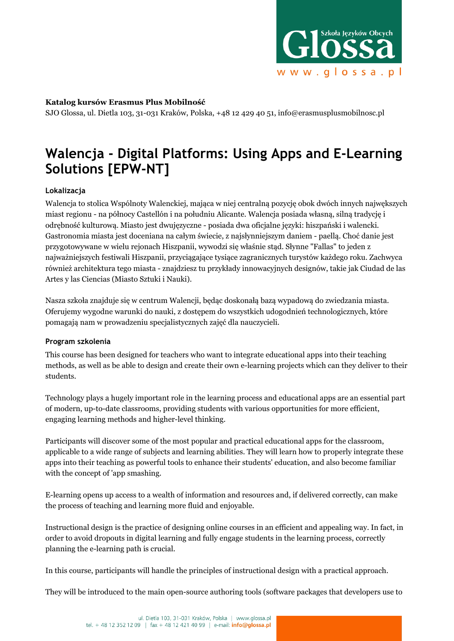

## **Katalog kursów Erasmus Plus Mobilność**

SJO Glossa, ul. Dietla 103, 31-031 Kraków, Polska, +48 12 429 40 51, info@erasmusplusmobilnosc.pl

# **Walencja - Digital Platforms: Using Apps and E-Learning Solutions [EPW-NT]**

## **Lokalizacja**

Walencja to stolica Wspólnoty Walenckiej, mająca w niej centralną pozycję obok dwóch innych najwększych miast regionu - na północy Castellón i na południu Alicante. Walencja posiada własną, silną tradycję i odrębność kulturową. Miasto jest dwujęzyczne - posiada dwa oficjalne języki: hiszpański i walencki. Gastronomia miasta jest doceniana na całym świecie, z najsłynniejszym daniem - paellą. Choć danie jest przygotowywane w wielu rejonach Hiszpanii, wywodzi się właśnie stąd. Słynne "Fallas" to jeden z najważniejszych festiwali Hiszpanii, przyciągające tysiące zagranicznych turystów każdego roku. Zachwyca również architektura tego miasta - znajdziesz tu przykłady innowacyjnych designów, takie jak Ciudad de las Artes y las Ciencias (Miasto Sztuki i Nauki).

Nasza szkoła znajduje się w centrum Walencji, będąc doskonałą bazą wypadową do zwiedzania miasta. Oferujemy wygodne warunki do nauki, z dostępem do wszystkich udogodnień technologicznych, które pomagają nam w prowadzeniu specjalistycznych zajęć dla nauczycieli.

## **Program szkolenia**

This course has been designed for teachers who want to integrate educational apps into their teaching methods, as well as be able to design and create their own e-learning projects which can they deliver to their students.

Technology plays a hugely important role in the learning process and educational apps are an essential part of modern, up-to-date classrooms, providing students with various opportunities for more efficient, engaging learning methods and higher-level thinking.

Participants will discover some of the most popular and practical educational apps for the classroom, applicable to a wide range of subjects and learning abilities. They will learn how to properly integrate these apps into their teaching as powerful tools to enhance their students' education, and also become familiar with the concept of 'app smashing.

E-learning opens up access to a wealth of information and resources and, if delivered correctly, can make the process of teaching and learning more fluid and enjoyable.

Instructional design is the practice of designing online courses in an efficient and appealing way. In fact, in order to avoid dropouts in digital learning and fully engage students in the learning process, correctly planning the e-learning path is crucial.

In this course, participants will handle the principles of instructional design with a practical approach.

They will be introduced to the main open-source authoring tools (software packages that developers use to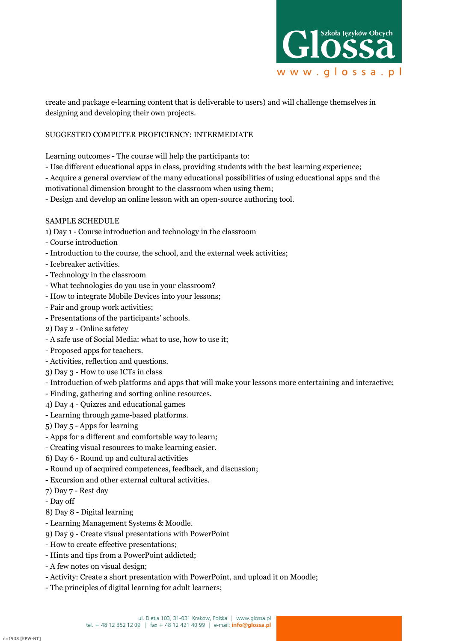

create and package e-learning content that is deliverable to users) and will challenge themselves in designing and developing their own projects.

### SUGGESTED COMPUTER PROFICIENCY: INTERMEDIATE

Learning outcomes - The course will help the participants to:

- Use different educational apps in class, providing students with the best learning experience;
- Acquire a general overview of the many educational possibilities of using educational apps and the

motivational dimension brought to the classroom when using them;

- Design and develop an online lesson with an open-source authoring tool.

#### SAMPLE SCHEDULE

- 1) Day 1 Course introduction and technology in the classroom
- Course introduction
- Introduction to the course, the school, and the external week activities;
- Icebreaker activities.
- Technology in the classroom
- What technologies do you use in your classroom?
- How to integrate Mobile Devices into your lessons;
- Pair and group work activities;
- Presentations of the participants' schools.
- 2) Day 2 Online safetey
- A safe use of Social Media: what to use, how to use it;
- Proposed apps for teachers.
- Activities, reflection and questions.
- 3) Day 3 How to use ICTs in class
- Introduction of web platforms and apps that will make your lessons more entertaining and interactive;
- Finding, gathering and sorting online resources.
- 4) Day 4 Quizzes and educational games
- Learning through game-based platforms.
- 5) Day 5 Apps for learning
- Apps for a different and comfortable way to learn;
- Creating visual resources to make learning easier.
- 6) Day 6 Round up and cultural activities
- Round up of acquired competences, feedback, and discussion;
- Excursion and other external cultural activities.
- 7) Day 7 Rest day
- Day off
- 8) Day 8 Digital learning
- Learning Management Systems & Moodle.
- 9) Day 9 Create visual presentations with PowerPoint
- How to create effective presentations;
- Hints and tips from a PowerPoint addicted;
- A few notes on visual design;
- Activity: Create a short presentation with PowerPoint, and upload it on Moodle;
- The principles of digital learning for adult learners;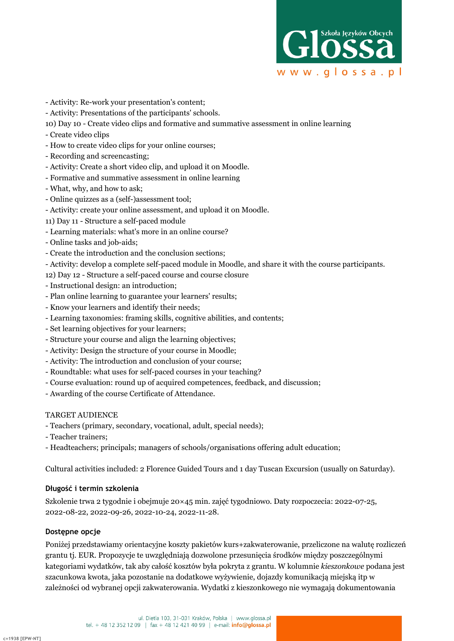

- Activity: Re-work your presentation's content;
- Activity: Presentations of the participants' schools.
- 10) Day 10 Create video clips and formative and summative assessment in online learning
- Create video clips
- How to create video clips for your online courses;
- Recording and screencasting;
- Activity: Create a short video clip, and upload it on Moodle.
- Formative and summative assessment in online learning
- What, why, and how to ask;
- Online quizzes as a (self-)assessment tool;
- Activity: create your online assessment, and upload it on Moodle.
- 11) Day 11 Structure a self-paced module
- Learning materials: what's more in an online course?
- Online tasks and job-aids;
- Create the introduction and the conclusion sections;
- Activity: develop a complete self-paced module in Moodle, and share it with the course participants.
- 12) Day 12 Structure a self-paced course and course closure
- Instructional design: an introduction;
- Plan online learning to guarantee your learners' results;
- Know your learners and identify their needs;
- Learning taxonomies: framing skills, cognitive abilities, and contents;
- Set learning objectives for your learners;
- Structure your course and align the learning objectives;
- Activity: Design the structure of your course in Moodle;
- Activity: The introduction and conclusion of your course;
- Roundtable: what uses for self-paced courses in your teaching?
- Course evaluation: round up of acquired competences, feedback, and discussion;
- Awarding of the course Certificate of Attendance.

## TARGET AUDIENCE

- Teachers (primary, secondary, vocational, adult, special needs);
- Teacher trainers;
- Headteachers; principals; managers of schools/organisations offering adult education;

Cultural activities included: 2 Florence Guided Tours and 1 day Tuscan Excursion (usually on Saturday).

## **Długość i termin szkolenia**

Szkolenie trwa 2 tygodnie i obejmuje 20×45 min. zajęć tygodniowo. Daty rozpoczecia: 2022-07-25, 2022-08-22, 2022-09-26, 2022-10-24, 2022-11-28.

## **Dostępne opcje**

Poniżej przedstawiamy orientacyjne koszty pakietów kurs+zakwaterowanie, przeliczone na walutę rozliczeń grantu tj. EUR. Propozycje te uwzględniają dozwolone przesunięcia środków między poszczególnymi kategoriami wydatków, tak aby całość kosztów była pokryta z grantu. W kolumnie *kieszonkowe* podana jest szacunkowa kwota, jaka pozostanie na dodatkowe wyżywienie, dojazdy komunikacją miejską itp w zależności od wybranej opcji zakwaterowania. Wydatki z kieszonkowego nie wymagają dokumentowania